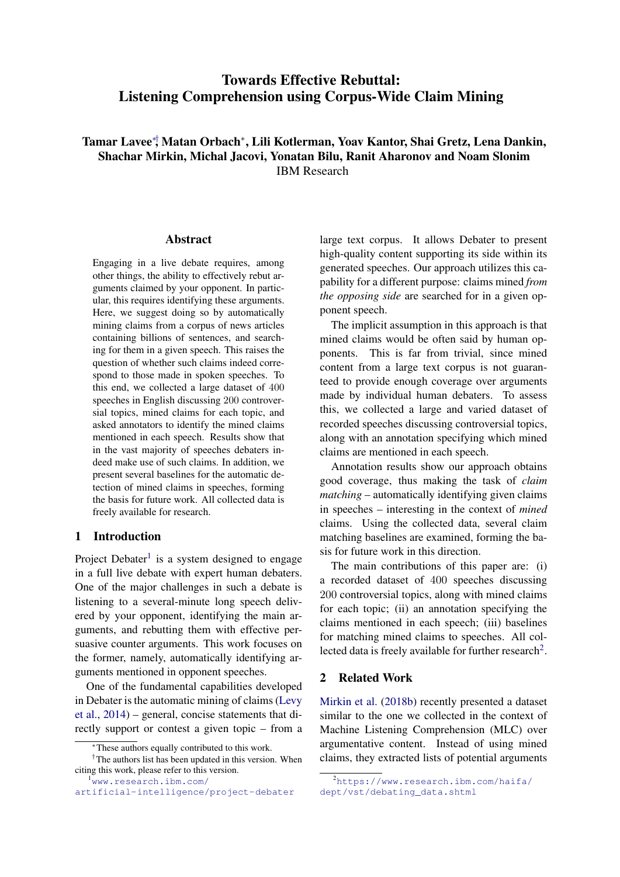# Towards Effective Rebuttal: Listening Comprehension using Corpus-Wide Claim Mining

Tamar Lavee∗† , Matan Orbach<sup>∗</sup> , Lili Kotlerman, Yoav Kantor, Shai Gretz, Lena Dankin, Shachar Mirkin, Michal Jacovi, Yonatan Bilu, Ranit Aharonov and Noam Slonim IBM Research

#### Abstract

Engaging in a live debate requires, among other things, the ability to effectively rebut arguments claimed by your opponent. In particular, this requires identifying these arguments. Here, we suggest doing so by automatically mining claims from a corpus of news articles containing billions of sentences, and searching for them in a given speech. This raises the question of whether such claims indeed correspond to those made in spoken speeches. To this end, we collected a large dataset of 400 speeches in English discussing 200 controversial topics, mined claims for each topic, and asked annotators to identify the mined claims mentioned in each speech. Results show that in the vast majority of speeches debaters indeed make use of such claims. In addition, we present several baselines for the automatic detection of mined claims in speeches, forming the basis for future work. All collected data is freely available for research.

#### 1 Introduction

Project Debater<sup>[1](#page-0-0)</sup> is a system designed to engage in a full live debate with expert human debaters. One of the major challenges in such a debate is listening to a several-minute long speech delivered by your opponent, identifying the main arguments, and rebutting them with effective persuasive counter arguments. This work focuses on the former, namely, automatically identifying arguments mentioned in opponent speeches.

One of the fundamental capabilities developed in Debater is the automatic mining of claims [\(Levy](#page-5-0) [et al.,](#page-5-0) [2014\)](#page-5-0) – general, concise statements that directly support or contest a given topic – from a

<span id="page-0-0"></span><sup>1</sup>[www.research.ibm.com/](www.research.ibm.com/artificial-intelligence/project-debater)

large text corpus. It allows Debater to present high-quality content supporting its side within its generated speeches. Our approach utilizes this capability for a different purpose: claims mined *from the opposing side* are searched for in a given opponent speech.

The implicit assumption in this approach is that mined claims would be often said by human opponents. This is far from trivial, since mined content from a large text corpus is not guaranteed to provide enough coverage over arguments made by individual human debaters. To assess this, we collected a large and varied dataset of recorded speeches discussing controversial topics, along with an annotation specifying which mined claims are mentioned in each speech.

Annotation results show our approach obtains good coverage, thus making the task of *claim matching* – automatically identifying given claims in speeches – interesting in the context of *mined* claims. Using the collected data, several claim matching baselines are examined, forming the basis for future work in this direction.

The main contributions of this paper are: (i) a recorded dataset of 400 speeches discussing 200 controversial topics, along with mined claims for each topic; (ii) an annotation specifying the claims mentioned in each speech; (iii) baselines for matching mined claims to speeches. All col-lected data is freely available for further research<sup>[2](#page-0-1)</sup>.

#### 2 Related Work

[Mirkin et al.](#page-5-1) [\(2018b\)](#page-5-1) recently presented a dataset similar to the one we collected in the context of Machine Listening Comprehension (MLC) over argumentative content. Instead of using mined claims, they extracted lists of potential arguments

<sup>∗</sup>These authors equally contributed to this work.

<sup>†</sup>The authors list has been updated in this version. When citing this work, please refer to this version.

[artificial-intelligence/project-debater](www.research.ibm.com/artificial-intelligence/project-debater)

<span id="page-0-1"></span> $^{2}$ [https://www.research.ibm.com/haifa/](https://www.research.ibm.com/haifa/dept/vst/debating_data.shtml) [dept/vst/debating\\_data.shtml](https://www.research.ibm.com/haifa/dept/vst/debating_data.shtml)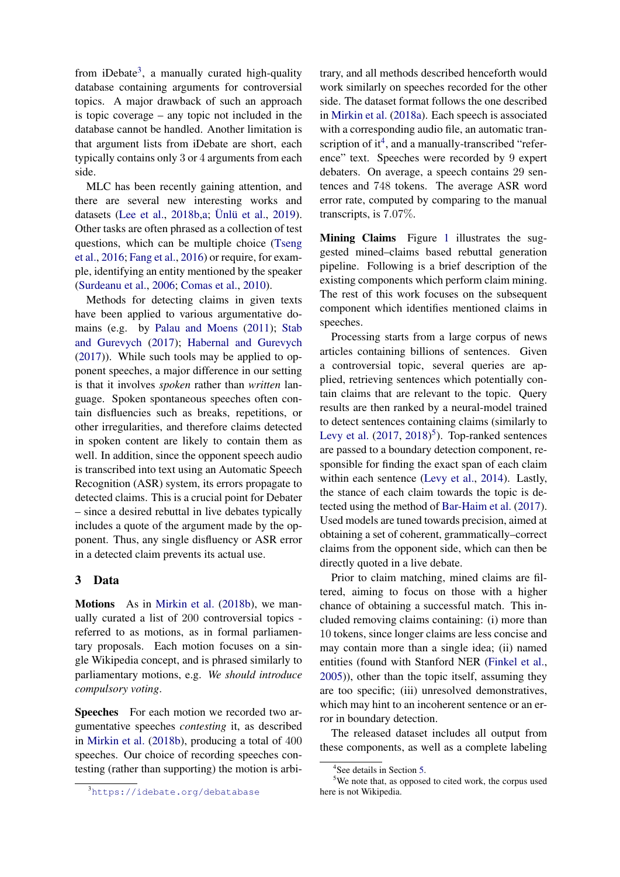from iDebate<sup>[3](#page-1-0)</sup>, a manually curated high-quality database containing arguments for controversial topics. A major drawback of such an approach is topic coverage – any topic not included in the database cannot be handled. Another limitation is that argument lists from iDebate are short, each typically contains only 3 or 4 arguments from each side.

MLC has been recently gaining attention, and there are several new interesting works and datasets [\(Lee et al.,](#page-5-2) [2018b](#page-5-2)[,a;](#page-5-3) Ünlü et al., [2019\)](#page-6-0). Other tasks are often phrased as a collection of test questions, which can be multiple choice [\(Tseng](#page-6-1) [et al.,](#page-6-1) [2016;](#page-6-1) [Fang et al.,](#page-5-4) [2016\)](#page-5-4) or require, for example, identifying an entity mentioned by the speaker [\(Surdeanu et al.,](#page-6-2) [2006;](#page-6-2) [Comas et al.,](#page-5-5) [2010\)](#page-5-5).

Methods for detecting claims in given texts have been applied to various argumentative domains (e.g. by [Palau and Moens](#page-5-6) [\(2011\)](#page-5-6); [Stab](#page-6-3) [and Gurevych](#page-6-3) [\(2017\)](#page-6-3); [Habernal and Gurevych](#page-5-7) [\(2017\)](#page-5-7)). While such tools may be applied to opponent speeches, a major difference in our setting is that it involves *spoken* rather than *written* language. Spoken spontaneous speeches often contain disfluencies such as breaks, repetitions, or other irregularities, and therefore claims detected in spoken content are likely to contain them as well. In addition, since the opponent speech audio is transcribed into text using an Automatic Speech Recognition (ASR) system, its errors propagate to detected claims. This is a crucial point for Debater – since a desired rebuttal in live debates typically includes a quote of the argument made by the opponent. Thus, any single disfluency or ASR error in a detected claim prevents its actual use.

#### <span id="page-1-3"></span>3 Data

Motions As in [Mirkin et al.](#page-5-1) [\(2018b\)](#page-5-1), we manually curated a list of 200 controversial topics referred to as motions, as in formal parliamentary proposals. Each motion focuses on a single Wikipedia concept, and is phrased similarly to parliamentary motions, e.g. *We should introduce compulsory voting*.

Speeches For each motion we recorded two argumentative speeches *contesting* it, as described in [Mirkin et al.](#page-5-1) [\(2018b\)](#page-5-1), producing a total of 400 speeches. Our choice of recording speeches contesting (rather than supporting) the motion is arbitrary, and all methods described henceforth would work similarly on speeches recorded for the other side. The dataset format follows the one described in [Mirkin et al.](#page-5-8) [\(2018a\)](#page-5-8). Each speech is associated with a corresponding audio file, an automatic tran-scription of it<sup>[4](#page-1-1)</sup>, and a manually-transcribed "reference" text. Speeches were recorded by 9 expert debaters. On average, a speech contains 29 sentences and 748 tokens. The average ASR word error rate, computed by comparing to the manual transcripts, is 7.07%.

Mining Claims Figure [1](#page-2-0) illustrates the suggested mined–claims based rebuttal generation pipeline. Following is a brief description of the existing components which perform claim mining. The rest of this work focuses on the subsequent component which identifies mentioned claims in speeches.

Processing starts from a large corpus of news articles containing billions of sentences. Given a controversial topic, several queries are applied, retrieving sentences which potentially contain claims that are relevant to the topic. Query results are then ranked by a neural-model trained to detect sentences containing claims (similarly to [Levy et al.](#page-5-9)  $(2017, 2018)^5$  $(2017, 2018)^5$  $(2017, 2018)^5$  $(2017, 2018)^5$  $(2017, 2018)^5$ ). Top-ranked sentences are passed to a boundary detection component, responsible for finding the exact span of each claim within each sentence [\(Levy et al.,](#page-5-0) [2014\)](#page-5-0). Lastly, the stance of each claim towards the topic is detected using the method of [Bar-Haim et al.](#page-5-11) [\(2017\)](#page-5-11). Used models are tuned towards precision, aimed at obtaining a set of coherent, grammatically–correct claims from the opponent side, which can then be directly quoted in a live debate.

Prior to claim matching, mined claims are filtered, aiming to focus on those with a higher chance of obtaining a successful match. This included removing claims containing: (i) more than 10 tokens, since longer claims are less concise and may contain more than a single idea; (ii) named entities (found with Stanford NER [\(Finkel et al.,](#page-5-12) [2005\)](#page-5-12)), other than the topic itself, assuming they are too specific; (iii) unresolved demonstratives, which may hint to an incoherent sentence or an error in boundary detection.

The released dataset includes all output from these components, as well as a complete labeling

<span id="page-1-0"></span><sup>3</sup><https://idebate.org/debatabase>

<span id="page-1-2"></span><span id="page-1-1"></span><sup>4</sup> See details in Section [5.](#page-3-0)

<sup>5</sup>We note that, as opposed to cited work, the corpus used here is not Wikipedia.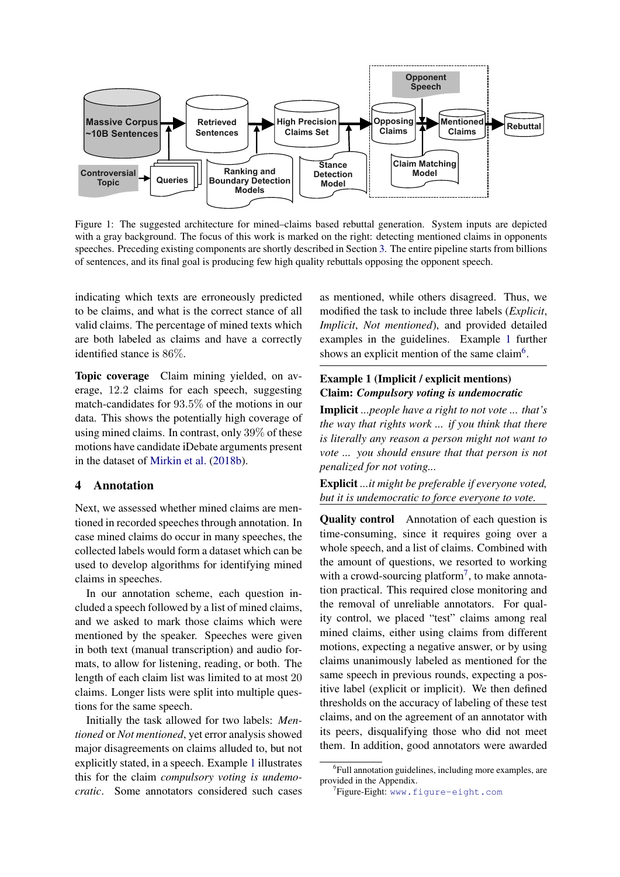<span id="page-2-0"></span>

Figure 1: The suggested architecture for mined–claims based rebuttal generation. System inputs are depicted with a gray background. The focus of this work is marked on the right: detecting mentioned claims in opponents speeches. Preceding existing components are shortly described in Section [3.](#page-1-3) The entire pipeline starts from billions of sentences, and its final goal is producing few high quality rebuttals opposing the opponent speech.

indicating which texts are erroneously predicted to be claims, and what is the correct stance of all valid claims. The percentage of mined texts which are both labeled as claims and have a correctly identified stance is 86%.

Topic coverage Claim mining yielded, on average, 12.2 claims for each speech, suggesting match-candidates for 93.5% of the motions in our data. This shows the potentially high coverage of using mined claims. In contrast, only 39% of these motions have candidate iDebate arguments present in the dataset of [Mirkin et al.](#page-5-1) [\(2018b\)](#page-5-1).

### 4 Annotation

Next, we assessed whether mined claims are mentioned in recorded speeches through annotation. In case mined claims do occur in many speeches, the collected labels would form a dataset which can be used to develop algorithms for identifying mined claims in speeches.

In our annotation scheme, each question included a speech followed by a list of mined claims, and we asked to mark those claims which were mentioned by the speaker. Speeches were given in both text (manual transcription) and audio formats, to allow for listening, reading, or both. The length of each claim list was limited to at most 20 claims. Longer lists were split into multiple questions for the same speech.

Initially the task allowed for two labels: *Mentioned* or *Not mentioned*, yet error analysis showed major disagreements on claims alluded to, but not explicitly stated, in a speech. Example [1](#page-2-1) illustrates this for the claim *compulsory voting is undemocratic*. Some annotators considered such cases

as mentioned, while others disagreed. Thus, we modified the task to include three labels (*Explicit*, *Implicit*, *Not mentioned*), and provided detailed examples in the guidelines. Example [1](#page-2-1) further shows an explicit mention of the same claim<sup>[6](#page-2-2)</sup>.

### <span id="page-2-1"></span>Example 1 (Implicit / explicit mentions) Claim: *Compulsory voting is undemocratic*

Implicit *...people have a right to not vote ... that's the way that rights work ... if you think that there is literally any reason a person might not want to vote ... you should ensure that that person is not penalized for not voting...*

Explicit *...it might be preferable if everyone voted, but it is undemocratic to force everyone to vote.*

Quality control Annotation of each question is time-consuming, since it requires going over a whole speech, and a list of claims. Combined with the amount of questions, we resorted to working with a crowd-sourcing platform<sup>[7](#page-2-3)</sup>, to make annotation practical. This required close monitoring and the removal of unreliable annotators. For quality control, we placed "test" claims among real mined claims, either using claims from different motions, expecting a negative answer, or by using claims unanimously labeled as mentioned for the same speech in previous rounds, expecting a positive label (explicit or implicit). We then defined thresholds on the accuracy of labeling of these test claims, and on the agreement of an annotator with its peers, disqualifying those who did not meet them. In addition, good annotators were awarded

<span id="page-2-2"></span><sup>&</sup>lt;sup>6</sup>Full annotation guidelines, including more examples, are provided in the Appendix.

<span id="page-2-3"></span><sup>7</sup> Figure-Eight: <www.figure-eight.com>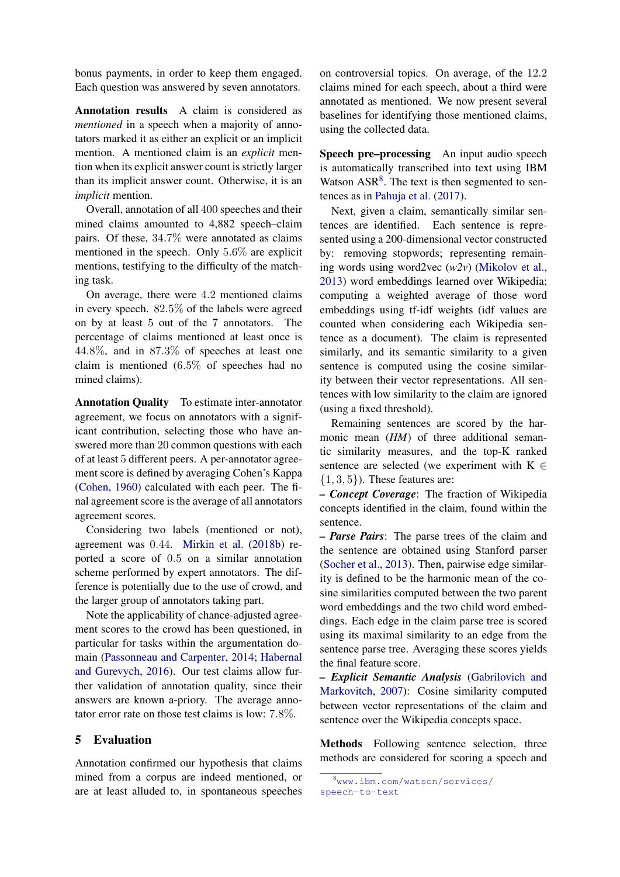bonus payments, in order to keep them engaged. Each question was answered by seven annotators.

Annotation results A claim is considered as *mentioned* in a speech when a majority of annotators marked it as either an explicit or an implicit mention. A mentioned claim is an *explicit* mention when its explicit answer count is strictly larger than its implicit answer count. Otherwise, it is an *implicit* mention.

Overall, annotation of all 400 speeches and their mined claims amounted to 4,882 speech–claim pairs. Of these, 34.7% were annotated as claims mentioned in the speech. Only 5.6% are explicit mentions, testifying to the difficulty of the matching task.

On average, there were 4.2 mentioned claims in every speech. 82.5% of the labels were agreed on by at least 5 out of the 7 annotators. The percentage of claims mentioned at least once is 44.8%, and in 87.3% of speeches at least one claim is mentioned (6.5% of speeches had no mined claims).

Annotation Quality To estimate inter-annotator agreement, we focus on annotators with a significant contribution, selecting those who have answered more than 20 common questions with each of at least 5 different peers. A per-annotator agreement score is defined by averaging Cohen's Kappa [\(Cohen,](#page-5-13) [1960\)](#page-5-13) calculated with each peer. The final agreement score is the average of all annotators agreement scores.

Considering two labels (mentioned or not), agreement was 0.44. [Mirkin et al.](#page-5-1) [\(2018b\)](#page-5-1) reported a score of 0.5 on a similar annotation scheme performed by expert annotators. The difference is potentially due to the use of crowd, and the larger group of annotators taking part.

Note the applicability of chance-adjusted agreement scores to the crowd has been questioned, in particular for tasks within the argumentation domain [\(Passonneau and Carpenter,](#page-6-4) [2014;](#page-6-4) [Habernal](#page-5-14) [and Gurevych,](#page-5-14) [2016\)](#page-5-14). Our test claims allow further validation of annotation quality, since their answers are known a-priory. The average annotator error rate on those test claims is low: 7.8%.

#### <span id="page-3-0"></span>5 Evaluation

Annotation confirmed our hypothesis that claims mined from a corpus are indeed mentioned, or are at least alluded to, in spontaneous speeches

on controversial topics. On average, of the 12.2 claims mined for each speech, about a third were annotated as mentioned. We now present several baselines for identifying those mentioned claims, using the collected data.

Speech pre–processing An input audio speech is automatically transcribed into text using IBM Watson  $ASR<sup>8</sup>$  $ASR<sup>8</sup>$  $ASR<sup>8</sup>$ . The text is then segmented to sentences as in [Pahuja et al.](#page-5-15) [\(2017\)](#page-5-15).

Next, given a claim, semantically similar sentences are identified. Each sentence is represented using a 200-dimensional vector constructed by: removing stopwords; representing remaining words using word2vec (*w2v*) [\(Mikolov et al.,](#page-5-16) [2013\)](#page-5-16) word embeddings learned over Wikipedia; computing a weighted average of those word embeddings using tf-idf weights (idf values are counted when considering each Wikipedia sentence as a document). The claim is represented similarly, and its semantic similarity to a given sentence is computed using the cosine similarity between their vector representations. All sentences with low similarity to the claim are ignored (using a fixed threshold).

Remaining sentences are scored by the harmonic mean (*HM*) of three additional semantic similarity measures, and the top-K ranked sentence are selected (we experiment with  $K \in$  $\{1, 3, 5\}$ ). These features are:

*– Concept Coverage*: The fraction of Wikipedia concepts identified in the claim, found within the sentence.

*– Parse Pairs*: The parse trees of the claim and the sentence are obtained using Stanford parser [\(Socher et al.,](#page-6-5) [2013\)](#page-6-5). Then, pairwise edge similarity is defined to be the harmonic mean of the cosine similarities computed between the two parent word embeddings and the two child word embeddings. Each edge in the claim parse tree is scored using its maximal similarity to an edge from the sentence parse tree. Averaging these scores yields the final feature score.

*– Explicit Semantic Analysis* [\(Gabrilovich and](#page-5-17) [Markovitch,](#page-5-17) [2007\)](#page-5-17): Cosine similarity computed between vector representations of the claim and sentence over the Wikipedia concepts space.

Methods Following sentence selection, three methods are considered for scoring a speech and

<span id="page-3-1"></span><sup>8</sup>[www.ibm.com/watson/services/](www.ibm.com/watson/services/speech-to-text) [speech-to-text](www.ibm.com/watson/services/speech-to-text)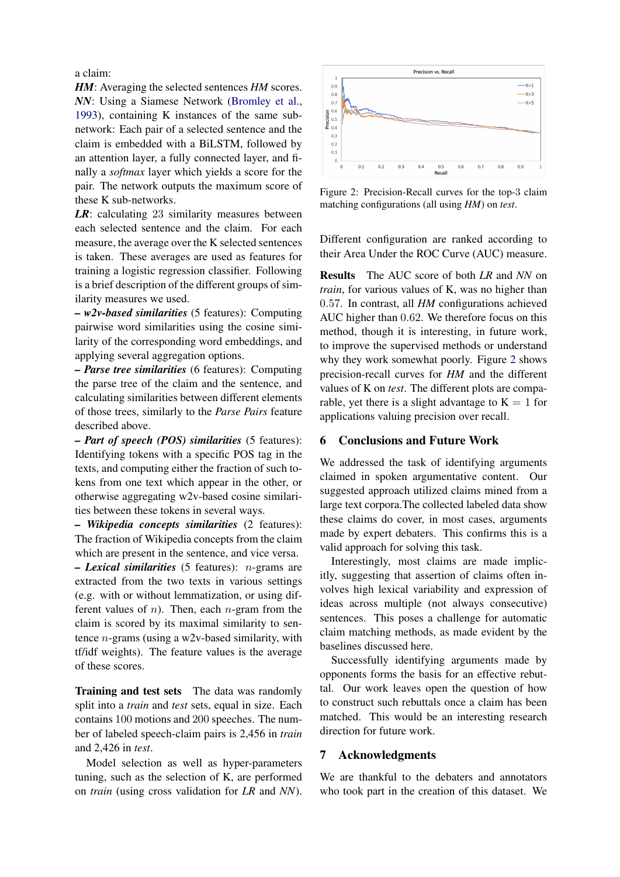### a claim:

*HM*: Averaging the selected sentences *HM* scores. *NN*: Using a Siamese Network [\(Bromley et al.,](#page-5-18) [1993\)](#page-5-18), containing K instances of the same subnetwork: Each pair of a selected sentence and the claim is embedded with a BiLSTM, followed by an attention layer, a fully connected layer, and finally a *softmax* layer which yields a score for the pair. The network outputs the maximum score of these K sub-networks.

*LR*: calculating 23 similarity measures between each selected sentence and the claim. For each measure, the average over the K selected sentences is taken. These averages are used as features for training a logistic regression classifier. Following is a brief description of the different groups of similarity measures we used.

*– w2v-based similarities* (5 features): Computing pairwise word similarities using the cosine similarity of the corresponding word embeddings, and applying several aggregation options.

*– Parse tree similarities* (6 features): Computing the parse tree of the claim and the sentence, and calculating similarities between different elements of those trees, similarly to the *Parse Pairs* feature described above.

*– Part of speech (POS) similarities* (5 features): Identifying tokens with a specific POS tag in the texts, and computing either the fraction of such tokens from one text which appear in the other, or otherwise aggregating w2v-based cosine similarities between these tokens in several ways.

*– Wikipedia concepts similarities* (2 features): The fraction of Wikipedia concepts from the claim which are present in the sentence, and vice versa.

*– Lexical similarities* (5 features): n-grams are extracted from the two texts in various settings (e.g. with or without lemmatization, or using different values of  $n$ ). Then, each  $n$ -gram from the claim is scored by its maximal similarity to sentence  $n$ -grams (using a w2v-based similarity, with tf/idf weights). The feature values is the average of these scores.

Training and test sets The data was randomly split into a *train* and *test* sets, equal in size. Each contains 100 motions and 200 speeches. The number of labeled speech-claim pairs is 2,456 in *train* and 2,426 in *test*.

Model selection as well as hyper-parameters tuning, such as the selection of K, are performed on *train* (using cross validation for *LR* and *NN*).

<span id="page-4-0"></span>

Figure 2: Precision-Recall curves for the top-3 claim matching configurations (all using *HM*) on *test*.

Different configuration are ranked according to their Area Under the ROC Curve (AUC) measure.

Results The AUC score of both *LR* and *NN* on *train*, for various values of K, was no higher than 0.57. In contrast, all *HM* configurations achieved AUC higher than 0.62. We therefore focus on this method, though it is interesting, in future work, to improve the supervised methods or understand why they work somewhat poorly. Figure [2](#page-4-0) shows precision-recall curves for *HM* and the different values of K on *test*. The different plots are comparable, yet there is a slight advantage to  $K = 1$  for applications valuing precision over recall.

### 6 Conclusions and Future Work

We addressed the task of identifying arguments claimed in spoken argumentative content. Our suggested approach utilized claims mined from a large text corpora.The collected labeled data show these claims do cover, in most cases, arguments made by expert debaters. This confirms this is a valid approach for solving this task.

Interestingly, most claims are made implicitly, suggesting that assertion of claims often involves high lexical variability and expression of ideas across multiple (not always consecutive) sentences. This poses a challenge for automatic claim matching methods, as made evident by the baselines discussed here.

Successfully identifying arguments made by opponents forms the basis for an effective rebuttal. Our work leaves open the question of how to construct such rebuttals once a claim has been matched. This would be an interesting research direction for future work.

#### 7 Acknowledgments

We are thankful to the debaters and annotators who took part in the creation of this dataset. We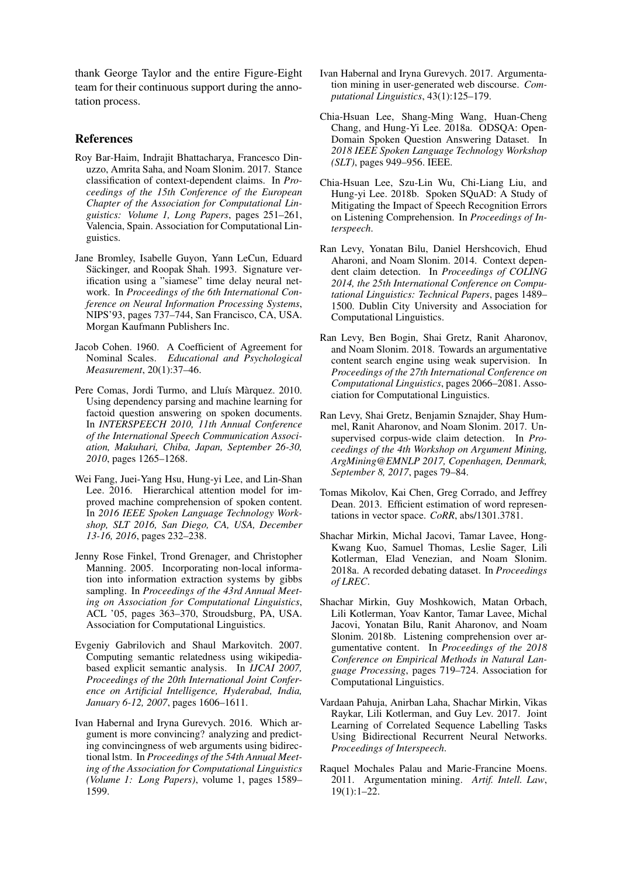thank George Taylor and the entire Figure-Eight team for their continuous support during the annotation process.

#### References

- <span id="page-5-11"></span>Roy Bar-Haim, Indrajit Bhattacharya, Francesco Dinuzzo, Amrita Saha, and Noam Slonim. 2017. Stance classification of context-dependent claims. In *Proceedings of the 15th Conference of the European Chapter of the Association for Computational Linguistics: Volume 1, Long Papers*, pages 251–261, Valencia, Spain. Association for Computational Linguistics.
- <span id="page-5-18"></span>Jane Bromley, Isabelle Guyon, Yann LeCun, Eduard Säckinger, and Roopak Shah. 1993. Signature verification using a "siamese" time delay neural network. In *Proceedings of the 6th International Conference on Neural Information Processing Systems*, NIPS'93, pages 737–744, San Francisco, CA, USA. Morgan Kaufmann Publishers Inc.
- <span id="page-5-13"></span>Jacob Cohen. 1960. A Coefficient of Agreement for Nominal Scales. *Educational and Psychological Measurement*, 20(1):37–46.
- <span id="page-5-5"></span>Pere Comas, Jordi Turmo, and Lluís Màrquez. 2010. Using dependency parsing and machine learning for factoid question answering on spoken documents. In *INTERSPEECH 2010, 11th Annual Conference of the International Speech Communication Association, Makuhari, Chiba, Japan, September 26-30, 2010*, pages 1265–1268.
- <span id="page-5-4"></span>Wei Fang, Juei-Yang Hsu, Hung-yi Lee, and Lin-Shan Lee. 2016. Hierarchical attention model for improved machine comprehension of spoken content. In *2016 IEEE Spoken Language Technology Workshop, SLT 2016, San Diego, CA, USA, December 13-16, 2016*, pages 232–238.
- <span id="page-5-12"></span>Jenny Rose Finkel, Trond Grenager, and Christopher Manning. 2005. Incorporating non-local information into information extraction systems by gibbs sampling. In *Proceedings of the 43rd Annual Meeting on Association for Computational Linguistics*, ACL '05, pages 363–370, Stroudsburg, PA, USA. Association for Computational Linguistics.
- <span id="page-5-17"></span>Evgeniy Gabrilovich and Shaul Markovitch. 2007. Computing semantic relatedness using wikipediabased explicit semantic analysis. In *IJCAI 2007, Proceedings of the 20th International Joint Conference on Artificial Intelligence, Hyderabad, India, January 6-12, 2007*, pages 1606–1611.
- <span id="page-5-14"></span>Ivan Habernal and Iryna Gurevych. 2016. Which argument is more convincing? analyzing and predicting convincingness of web arguments using bidirectional lstm. In *Proceedings of the 54th Annual Meeting of the Association for Computational Linguistics (Volume 1: Long Papers)*, volume 1, pages 1589– 1599.
- <span id="page-5-7"></span>Ivan Habernal and Iryna Gurevych. 2017. Argumentation mining in user-generated web discourse. *Computational Linguistics*, 43(1):125–179.
- <span id="page-5-3"></span>Chia-Hsuan Lee, Shang-Ming Wang, Huan-Cheng Chang, and Hung-Yi Lee. 2018a. ODSQA: Open-Domain Spoken Question Answering Dataset. In *2018 IEEE Spoken Language Technology Workshop (SLT)*, pages 949–956. IEEE.
- <span id="page-5-2"></span>Chia-Hsuan Lee, Szu-Lin Wu, Chi-Liang Liu, and Hung-yi Lee. 2018b. Spoken SQuAD: A Study of Mitigating the Impact of Speech Recognition Errors on Listening Comprehension. In *Proceedings of Interspeech*.
- <span id="page-5-0"></span>Ran Levy, Yonatan Bilu, Daniel Hershcovich, Ehud Aharoni, and Noam Slonim. 2014. Context dependent claim detection. In *Proceedings of COLING 2014, the 25th International Conference on Computational Linguistics: Technical Papers*, pages 1489– 1500. Dublin City University and Association for Computational Linguistics.
- <span id="page-5-10"></span>Ran Levy, Ben Bogin, Shai Gretz, Ranit Aharonov, and Noam Slonim. 2018. Towards an argumentative content search engine using weak supervision. In *Proceedings of the 27th International Conference on Computational Linguistics*, pages 2066–2081. Association for Computational Linguistics.
- <span id="page-5-9"></span>Ran Levy, Shai Gretz, Benjamin Sznajder, Shay Hummel, Ranit Aharonov, and Noam Slonim. 2017. Unsupervised corpus-wide claim detection. In *Proceedings of the 4th Workshop on Argument Mining, ArgMining@EMNLP 2017, Copenhagen, Denmark, September 8, 2017*, pages 79–84.
- <span id="page-5-16"></span>Tomas Mikolov, Kai Chen, Greg Corrado, and Jeffrey Dean. 2013. Efficient estimation of word representations in vector space. *CoRR*, abs/1301.3781.
- <span id="page-5-8"></span>Shachar Mirkin, Michal Jacovi, Tamar Lavee, Hong-Kwang Kuo, Samuel Thomas, Leslie Sager, Lili Kotlerman, Elad Venezian, and Noam Slonim. 2018a. A recorded debating dataset. In *Proceedings of LREC*.
- <span id="page-5-1"></span>Shachar Mirkin, Guy Moshkowich, Matan Orbach, Lili Kotlerman, Yoav Kantor, Tamar Lavee, Michal Jacovi, Yonatan Bilu, Ranit Aharonov, and Noam Slonim. 2018b. Listening comprehension over argumentative content. In *Proceedings of the 2018 Conference on Empirical Methods in Natural Language Processing*, pages 719–724. Association for Computational Linguistics.
- <span id="page-5-15"></span>Vardaan Pahuja, Anirban Laha, Shachar Mirkin, Vikas Raykar, Lili Kotlerman, and Guy Lev. 2017. Joint Learning of Correlated Sequence Labelling Tasks Using Bidirectional Recurrent Neural Networks. *Proceedings of Interspeech*.
- <span id="page-5-6"></span>Raquel Mochales Palau and Marie-Francine Moens. 2011. Argumentation mining. *Artif. Intell. Law*, 19(1):1–22.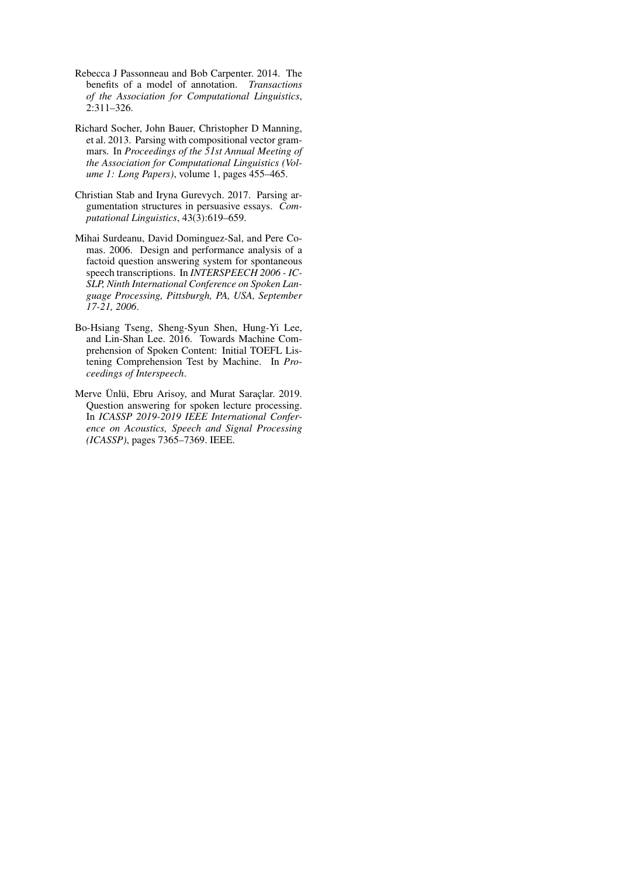- <span id="page-6-4"></span>Rebecca J Passonneau and Bob Carpenter. 2014. The benefits of a model of annotation. *Transactions of the Association for Computational Linguistics*, 2:311–326.
- <span id="page-6-5"></span>Richard Socher, John Bauer, Christopher D Manning, et al. 2013. Parsing with compositional vector grammars. In *Proceedings of the 51st Annual Meeting of the Association for Computational Linguistics (Volume 1: Long Papers)*, volume 1, pages 455–465.
- <span id="page-6-3"></span>Christian Stab and Iryna Gurevych. 2017. Parsing argumentation structures in persuasive essays. *Computational Linguistics*, 43(3):619–659.
- <span id="page-6-2"></span>Mihai Surdeanu, David Dominguez-Sal, and Pere Comas. 2006. Design and performance analysis of a factoid question answering system for spontaneous speech transcriptions. In *INTERSPEECH 2006 - IC-SLP, Ninth International Conference on Spoken Language Processing, Pittsburgh, PA, USA, September 17-21, 2006*.
- <span id="page-6-1"></span>Bo-Hsiang Tseng, Sheng-Syun Shen, Hung-Yi Lee, and Lin-Shan Lee. 2016. Towards Machine Comprehension of Spoken Content: Initial TOEFL Listening Comprehension Test by Machine. In *Proceedings of Interspeech*.
- <span id="page-6-0"></span>Merve Ünlü, Ebru Arisoy, and Murat Saraclar. 2019. Question answering for spoken lecture processing. In *ICASSP 2019-2019 IEEE International Conference on Acoustics, Speech and Signal Processing (ICASSP)*, pages 7365–7369. IEEE.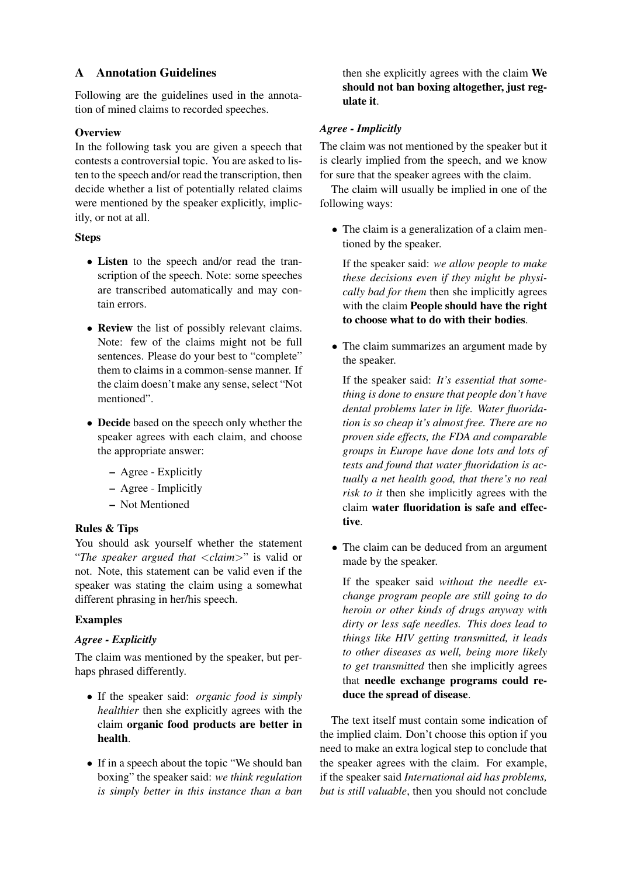# A Annotation Guidelines

Following are the guidelines used in the annotation of mined claims to recorded speeches.

### **Overview**

In the following task you are given a speech that contests a controversial topic. You are asked to listen to the speech and/or read the transcription, then decide whether a list of potentially related claims were mentioned by the speaker explicitly, implicitly, or not at all.

### Steps

- Listen to the speech and/or read the transcription of the speech. Note: some speeches are transcribed automatically and may contain errors.
- Review the list of possibly relevant claims. Note: few of the claims might not be full sentences. Please do your best to "complete" them to claims in a common-sense manner. If the claim doesn't make any sense, select "Not mentioned".
- Decide based on the speech only whether the speaker agrees with each claim, and choose the appropriate answer:
	- Agree Explicitly
	- Agree Implicitly
	- Not Mentioned

# Rules & Tips

You should ask yourself whether the statement "*The speaker argued that* <*claim*>" is valid or not. Note, this statement can be valid even if the speaker was stating the claim using a somewhat different phrasing in her/his speech.

# Examples

# *Agree - Explicitly*

The claim was mentioned by the speaker, but perhaps phrased differently.

- If the speaker said: *organic food is simply healthier* then she explicitly agrees with the claim organic food products are better in health.
- If in a speech about the topic "We should ban boxing" the speaker said: *we think regulation is simply better in this instance than a ban*

then she explicitly agrees with the claim We should not ban boxing altogether, just regulate it.

# *Agree - Implicitly*

The claim was not mentioned by the speaker but it is clearly implied from the speech, and we know for sure that the speaker agrees with the claim.

The claim will usually be implied in one of the following ways:

• The claim is a generalization of a claim mentioned by the speaker.

If the speaker said: *we allow people to make these decisions even if they might be physically bad for them* then she implicitly agrees with the claim People should have the right to choose what to do with their bodies.

• The claim summarizes an argument made by the speaker.

If the speaker said: *It's essential that something is done to ensure that people don't have dental problems later in life. Water fluoridation is so cheap it's almost free. There are no proven side effects, the FDA and comparable groups in Europe have done lots and lots of tests and found that water fluoridation is actually a net health good, that there's no real risk to it* then she implicitly agrees with the claim water fluoridation is safe and effective.

• The claim can be deduced from an argument made by the speaker.

If the speaker said *without the needle exchange program people are still going to do heroin or other kinds of drugs anyway with dirty or less safe needles. This does lead to things like HIV getting transmitted, it leads to other diseases as well, being more likely to get transmitted* then she implicitly agrees that needle exchange programs could reduce the spread of disease.

The text itself must contain some indication of the implied claim. Don't choose this option if you need to make an extra logical step to conclude that the speaker agrees with the claim. For example, if the speaker said *International aid has problems, but is still valuable*, then you should not conclude